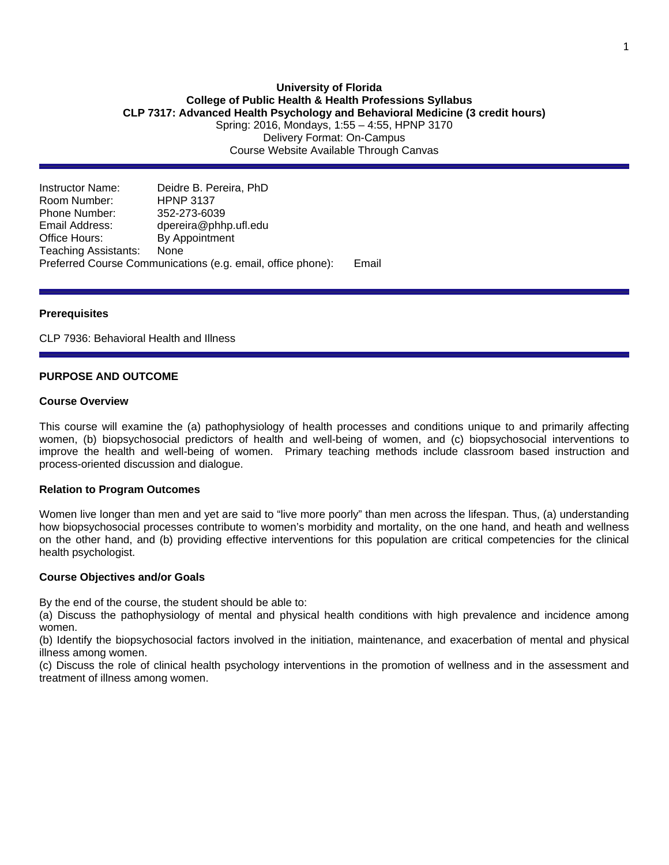### **University of Florida College of Public Health & Health Professions Syllabus CLP 7317: Advanced Health Psychology and Behavioral Medicine (3 credit hours)** Spring: 2016, Mondays, 1:55 – 4:55, HPNP 3170

Delivery Format: On-Campus Course Website Available Through Canvas

Instructor Name: Deidre B. Pereira, PhD Room Number: Phone Number: 352-273-6039<br>Email Address: doereira@phh Email Address: dpereira@phhp.ufl.edu<br>Office Hours: By Appointment By Appointment Teaching Assistants: None Preferred Course Communications (e.g. email, office phone): Email

## **Prerequisites**

CLP 7936: Behavioral Health and Illness

## **PURPOSE AND OUTCOME**

## **Course Overview**

This course will examine the (a) pathophysiology of health processes and conditions unique to and primarily affecting women, (b) biopsychosocial predictors of health and well-being of women, and (c) biopsychosocial interventions to improve the health and well-being of women. Primary teaching methods include classroom based instruction and process-oriented discussion and dialogue.

#### **Relation to Program Outcomes**

Women live longer than men and yet are said to "live more poorly" than men across the lifespan. Thus, (a) understanding how biopsychosocial processes contribute to women's morbidity and mortality, on the one hand, and heath and wellness on the other hand, and (b) providing effective interventions for this population are critical competencies for the clinical health psychologist.

#### **Course Objectives and/or Goals**

By the end of the course, the student should be able to:

(a) Discuss the pathophysiology of mental and physical health conditions with high prevalence and incidence among women.

(b) Identify the biopsychosocial factors involved in the initiation, maintenance, and exacerbation of mental and physical illness among women.

(c) Discuss the role of clinical health psychology interventions in the promotion of wellness and in the assessment and treatment of illness among women.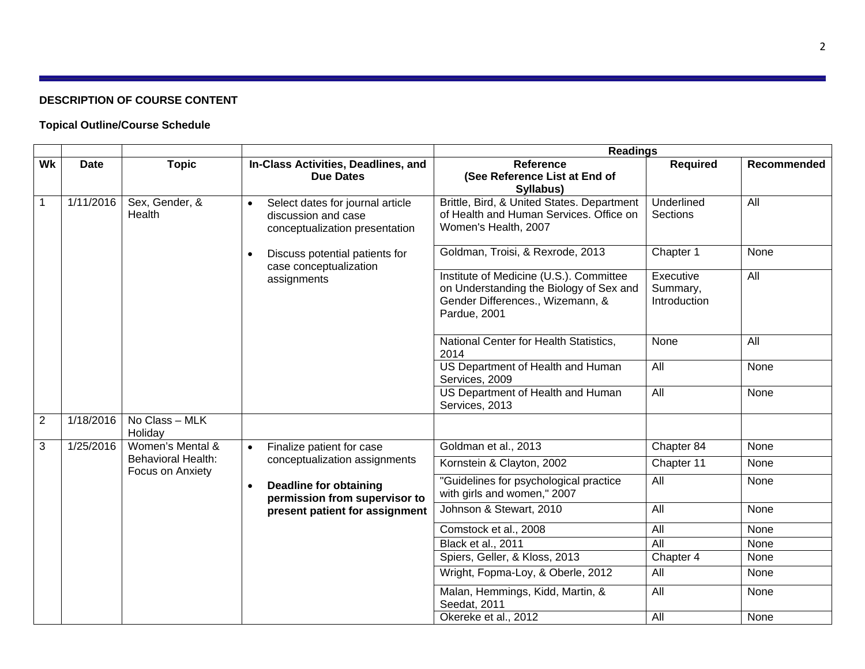## **DESCRIPTION OF COURSE CONTENT**

# **Topical Outline/Course Schedule**

|                |             |                                                                             |                                                                                                        | <b>Readings</b>                                                                                                                        |                                       |                    |  |  |  |  |
|----------------|-------------|-----------------------------------------------------------------------------|--------------------------------------------------------------------------------------------------------|----------------------------------------------------------------------------------------------------------------------------------------|---------------------------------------|--------------------|--|--|--|--|
| W <sub>k</sub> | <b>Date</b> | <b>Topic</b>                                                                | In-Class Activities, Deadlines, and<br><b>Due Dates</b>                                                | <b>Reference</b><br>(See Reference List at End of<br>Syllabus)                                                                         | <b>Required</b>                       | <b>Recommended</b> |  |  |  |  |
| $\mathbf{1}$   | 1/11/2016   | Sex, Gender, &<br>Health                                                    | Select dates for journal article<br>$\bullet$<br>discussion and case<br>conceptualization presentation | Brittle, Bird, & United States. Department<br>of Health and Human Services. Office on<br>Women's Health, 2007                          | Underlined<br><b>Sections</b>         |                    |  |  |  |  |
|                |             |                                                                             | Discuss potential patients for<br>case conceptualization                                               | Goldman, Troisi, & Rexrode, 2013                                                                                                       |                                       |                    |  |  |  |  |
|                |             |                                                                             | assignments                                                                                            | Institute of Medicine (U.S.). Committee<br>on Understanding the Biology of Sex and<br>Gender Differences., Wizemann, &<br>Pardue, 2001 | Executive<br>Summary,<br>Introduction | $\overline{All}$   |  |  |  |  |
|                |             |                                                                             |                                                                                                        | National Center for Health Statistics,<br>2014                                                                                         | None                                  | All                |  |  |  |  |
|                |             |                                                                             |                                                                                                        | US Department of Health and Human<br>Services, 2009                                                                                    | $\overline{All}$                      | None               |  |  |  |  |
|                |             |                                                                             |                                                                                                        | US Department of Health and Human<br>Services, 2013                                                                                    | $\overline{All}$                      | None               |  |  |  |  |
| $\overline{2}$ | 1/18/2016   | No Class - MLK<br>Holiday                                                   |                                                                                                        |                                                                                                                                        |                                       |                    |  |  |  |  |
| 3              | 1/25/2016   | Women's Mental &                                                            | Finalize patient for case<br>$\bullet$                                                                 | Goldman et al., 2013                                                                                                                   | Chapter 84                            | None               |  |  |  |  |
|                |             | <b>Behavioral Health:</b><br>Focus on Anxiety                               | conceptualization assignments                                                                          | Kornstein & Clayton, 2002                                                                                                              | Chapter 11                            | None               |  |  |  |  |
|                |             | <b>Deadline for obtaining</b><br>$\bullet$<br>permission from supervisor to |                                                                                                        | "Guidelines for psychological practice<br>with girls and women," 2007                                                                  | All                                   | None               |  |  |  |  |
|                |             | present patient for assignment                                              | Johnson & Stewart, 2010                                                                                | All                                                                                                                                    | None                                  |                    |  |  |  |  |
|                |             |                                                                             |                                                                                                        | Comstock et al., 2008                                                                                                                  | All                                   | None               |  |  |  |  |
|                |             |                                                                             |                                                                                                        | Black et al., 2011                                                                                                                     | All                                   | None               |  |  |  |  |
|                |             |                                                                             |                                                                                                        | Spiers, Geller, & Kloss, 2013                                                                                                          | Chapter 4                             | None               |  |  |  |  |
|                |             |                                                                             |                                                                                                        | Wright, Fopma-Loy, & Oberle, 2012                                                                                                      | All                                   | None               |  |  |  |  |
|                |             |                                                                             |                                                                                                        | Malan, Hemmings, Kidd, Martin, &<br>Seedat, 2011                                                                                       | All                                   | None               |  |  |  |  |
|                |             |                                                                             | Okereke et al., 2012                                                                                   | All                                                                                                                                    | None                                  |                    |  |  |  |  |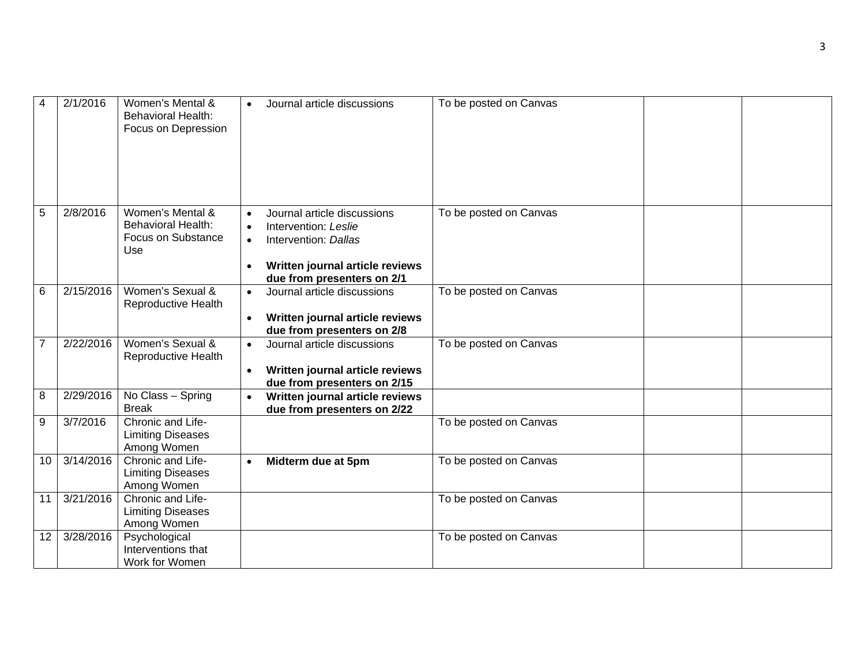| 4              | 2/1/2016  | Women's Mental &<br><b>Behavioral Health:</b><br>Focus on Depression       | Journal article discussions<br>$\bullet$                                                                                                                                                         | To be posted on Canvas |
|----------------|-----------|----------------------------------------------------------------------------|--------------------------------------------------------------------------------------------------------------------------------------------------------------------------------------------------|------------------------|
| 5              | 2/8/2016  | Women's Mental &<br><b>Behavioral Health:</b><br>Focus on Substance<br>Use | Journal article discussions<br>$\bullet$<br>Intervention: Leslie<br>$\bullet$<br>Intervention: Dallas<br>$\bullet$<br>Written journal article reviews<br>$\bullet$<br>due from presenters on 2/1 | To be posted on Canvas |
| 6              | 2/15/2016 | Women's Sexual &<br>Reproductive Health                                    | Journal article discussions<br>$\bullet$<br>Written journal article reviews<br>$\bullet$<br>due from presenters on 2/8                                                                           | To be posted on Canvas |
| $\overline{7}$ | 2/22/2016 | Women's Sexual &<br>Reproductive Health                                    | Journal article discussions<br>$\bullet$<br>Written journal article reviews<br>$\bullet$<br>due from presenters on 2/15                                                                          | To be posted on Canvas |
| 8              | 2/29/2016 | No Class - Spring<br><b>Break</b>                                          | Written journal article reviews<br>due from presenters on 2/22                                                                                                                                   |                        |
| 9              | 3/7/2016  | Chronic and Life-<br><b>Limiting Diseases</b><br>Among Women               |                                                                                                                                                                                                  | To be posted on Canvas |
| 10             | 3/14/2016 | Chronic and Life-<br><b>Limiting Diseases</b><br>Among Women               | Midterm due at 5pm<br>$\bullet$                                                                                                                                                                  | To be posted on Canvas |
| 11             | 3/21/2016 | Chronic and Life-<br><b>Limiting Diseases</b><br>Among Women               |                                                                                                                                                                                                  | To be posted on Canvas |
| 12             | 3/28/2016 | Psychological<br>Interventions that<br>Work for Women                      |                                                                                                                                                                                                  | To be posted on Canvas |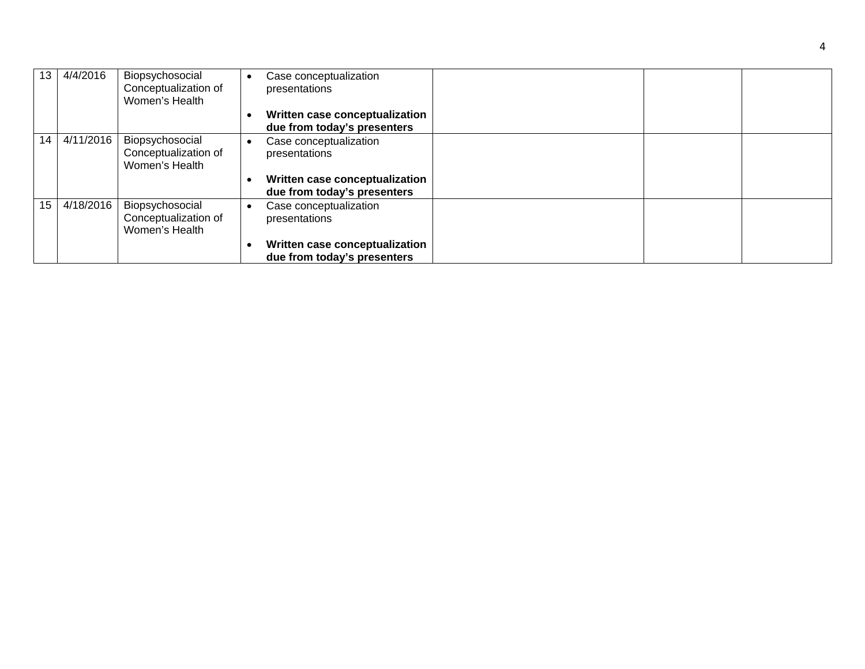| 13 | 4/4/2016  | Biopsychosocial<br>Conceptualization of<br>Women's Health | Case conceptualization<br>presentations                       |  |
|----|-----------|-----------------------------------------------------------|---------------------------------------------------------------|--|
|    |           |                                                           | Written case conceptualization<br>due from today's presenters |  |
| 14 | 4/11/2016 | Biopsychosocial<br>Conceptualization of<br>Women's Health | Case conceptualization<br>presentations                       |  |
|    |           |                                                           | Written case conceptualization<br>due from today's presenters |  |
| 15 | 4/18/2016 | Biopsychosocial<br>Conceptualization of<br>Women's Health | Case conceptualization<br>presentations                       |  |
|    |           |                                                           | Written case conceptualization<br>due from today's presenters |  |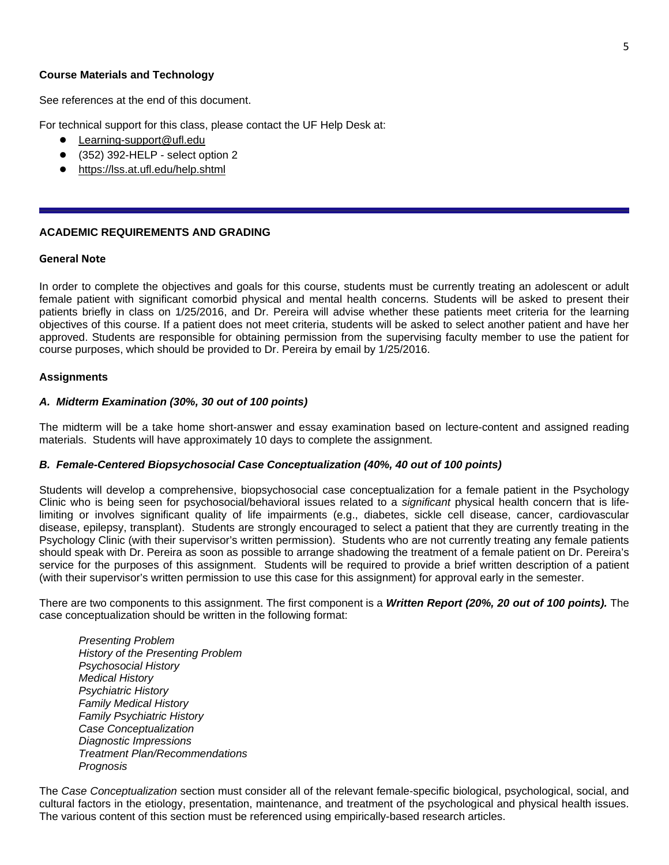## **Course Materials and Technology**

See references at the end of this document.

For technical support for this class, please contact the UF Help Desk at:

- Learning-support@ufl.edu
- (352) 392-HELP select option 2
- <https://lss.at.ufl.edu/help.shtml>

## **ACADEMIC REQUIREMENTS AND GRADING**

#### **General Note**

In order to complete the objectives and goals for this course, students must be currently treating an adolescent or adult female patient with significant comorbid physical and mental health concerns. Students will be asked to present their patients briefly in class on 1/25/2016, and Dr. Pereira will advise whether these patients meet criteria for the learning objectives of this course. If a patient does not meet criteria, students will be asked to select another patient and have her approved. Students are responsible for obtaining permission from the supervising faculty member to use the patient for course purposes, which should be provided to Dr. Pereira by email by 1/25/2016.

## **Assignments**

## *A. Midterm Examination (30%, 30 out of 100 points)*

The midterm will be a take home short-answer and essay examination based on lecture-content and assigned reading materials. Students will have approximately 10 days to complete the assignment.

## *B. Female-Centered Biopsychosocial Case Conceptualization (40%, 40 out of 100 points)*

Students will develop a comprehensive, biopsychosocial case conceptualization for a female patient in the Psychology Clinic who is being seen for psychosocial/behavioral issues related to a *significant* physical health concern that is lifelimiting or involves significant quality of life impairments (e.g., diabetes, sickle cell disease, cancer, cardiovascular disease, epilepsy, transplant). Students are strongly encouraged to select a patient that they are currently treating in the Psychology Clinic (with their supervisor's written permission). Students who are not currently treating any female patients should speak with Dr. Pereira as soon as possible to arrange shadowing the treatment of a female patient on Dr. Pereira's service for the purposes of this assignment. Students will be required to provide a brief written description of a patient (with their supervisor's written permission to use this case for this assignment) for approval early in the semester.

There are two components to this assignment. The first component is a *Written Report (20%, 20 out of 100 points).* The case conceptualization should be written in the following format:

*Presenting Problem History of the Presenting Problem Psychosocial History Medical History Psychiatric History Family Medical History Family Psychiatric History Case Conceptualization Diagnostic Impressions Treatment Plan/Recommendations Prognosis*

The *Case Conceptualization* section must consider all of the relevant female-specific biological, psychological, social, and cultural factors in the etiology, presentation, maintenance, and treatment of the psychological and physical health issues. The various content of this section must be referenced using empirically-based research articles.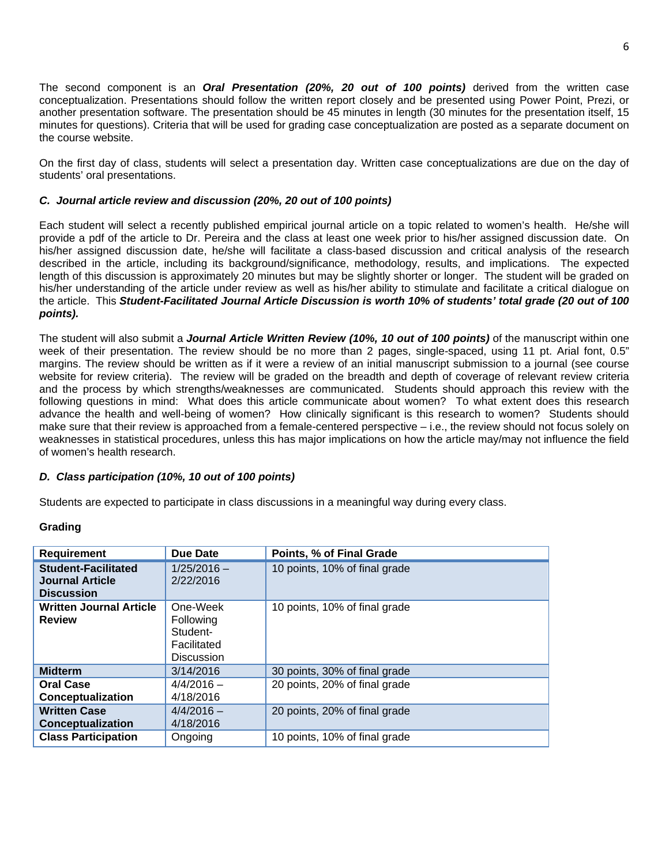The second component is an *Oral Presentation (20%, 20 out of 100 points)* derived from the written case conceptualization. Presentations should follow the written report closely and be presented using Power Point, Prezi, or another presentation software. The presentation should be 45 minutes in length (30 minutes for the presentation itself, 15 minutes for questions). Criteria that will be used for grading case conceptualization are posted as a separate document on the course website.

On the first day of class, students will select a presentation day. Written case conceptualizations are due on the day of students' oral presentations.

## *C. Journal article review and discussion (20%, 20 out of 100 points)*

Each student will select a recently published empirical journal article on a topic related to women's health. He/she will provide a pdf of the article to Dr. Pereira and the class at least one week prior to his/her assigned discussion date. On his/her assigned discussion date, he/she will facilitate a class-based discussion and critical analysis of the research described in the article, including its background/significance, methodology, results, and implications. The expected length of this discussion is approximately 20 minutes but may be slightly shorter or longer. The student will be graded on his/her understanding of the article under review as well as his/her ability to stimulate and facilitate a critical dialogue on the article. This *Student-Facilitated Journal Article Discussion is worth 10% of students' total grade (20 out of 100 points).*

The student will also submit a *Journal Article Written Review (10%, 10 out of 100 points)* of the manuscript within one week of their presentation. The review should be no more than 2 pages, single-spaced, using 11 pt. Arial font, 0.5" margins. The review should be written as if it were a review of an initial manuscript submission to a journal (see course website for review criteria). The review will be graded on the breadth and depth of coverage of relevant review criteria and the process by which strengths/weaknesses are communicated. Students should approach this review with the following questions in mind: What does this article communicate about women? To what extent does this research advance the health and well-being of women? How clinically significant is this research to women? Students should make sure that their review is approached from a female-centered perspective – i.e., the review should not focus solely on weaknesses in statistical procedures, unless this has major implications on how the article may/may not influence the field of women's health research.

## *D. Class participation (10%, 10 out of 100 points)*

Students are expected to participate in class discussions in a meaningful way during every class.

| <b>Requirement</b>                                                        | <b>Due Date</b>                                                       | Points, % of Final Grade      |
|---------------------------------------------------------------------------|-----------------------------------------------------------------------|-------------------------------|
| <b>Student-Facilitated</b><br><b>Journal Article</b><br><b>Discussion</b> | $1/25/2016 -$<br>2/22/2016                                            | 10 points, 10% of final grade |
| <b>Written Journal Article</b><br><b>Review</b>                           | One-Week<br>Following<br>Student-<br>Facilitated<br><b>Discussion</b> | 10 points, 10% of final grade |
| <b>Midterm</b>                                                            | 3/14/2016                                                             | 30 points, 30% of final grade |
| <b>Oral Case</b><br>Conceptualization                                     | $4/4/2016 -$<br>4/18/2016                                             | 20 points, 20% of final grade |
| <b>Written Case</b><br><b>Conceptualization</b>                           | $4/4/2016 -$<br>4/18/2016                                             | 20 points, 20% of final grade |
| <b>Class Participation</b>                                                | Ongoing                                                               | 10 points, 10% of final grade |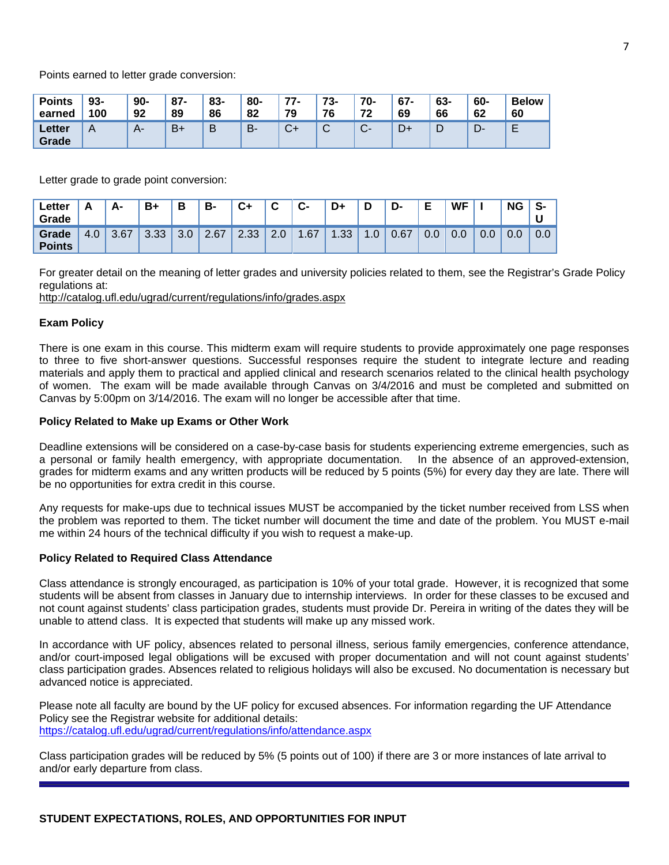Points earned to letter grade conversion:

| <b>Points</b>   | $93 -$ | $90-$ | $87 -$ | 83- | 80- | 77-          | 73- | 70-                               | $67 -$ | 63- | 60- | <b>Below</b> |
|-----------------|--------|-------|--------|-----|-----|--------------|-----|-----------------------------------|--------|-----|-----|--------------|
| earned          | 100    | 92    | 89     | 86  | 82  | 79           | 76  | 72                                | 69     | 66  | 62  | 60           |
| Letter<br>Grade | A      | $A-$  | $B+$   | B   | B-  | $\sim$<br>∪- | ◡   | $\sim$<br>$\overline{\mathbf{v}}$ | D+     | ◡   | -ت  | F<br>-       |

Letter grade to grade point conversion:

| Letter<br>Grade        |     | Δ.   | $B+$ | B   | B-   | C+   | ◠   | $C-$ | D+                     | D  | D-   | Е               | <b>WF</b> |     | <b>NG</b> | -ə- |
|------------------------|-----|------|------|-----|------|------|-----|------|------------------------|----|------|-----------------|-----------|-----|-----------|-----|
| Grade<br><b>Points</b> | 4.0 | 3.67 | 3.33 | 3.0 | 2.67 | 2.33 | 2.0 | 1.67 | 1.33<br>$\blacksquare$ | .U | 0.67 | $\Omega$<br>0.0 | 0.0       | 0.0 | v.v       | 0.0 |

For greater detail on the meaning of letter grades and university policies related to them, see the Registrar's Grade Policy regulations at:

<http://catalog.ufl.edu/ugrad/current/regulations/info/grades.aspx>

## **Exam Policy**

There is one exam in this course. This midterm exam will require students to provide approximately one page responses to three to five short-answer questions. Successful responses require the student to integrate lecture and reading materials and apply them to practical and applied clinical and research scenarios related to the clinical health psychology of women. The exam will be made available through Canvas on 3/4/2016 and must be completed and submitted on Canvas by 5:00pm on 3/14/2016. The exam will no longer be accessible after that time.

## **Policy Related to Make up Exams or Other Work**

Deadline extensions will be considered on a case-by-case basis for students experiencing extreme emergencies, such as a personal or family health emergency, with appropriate documentation. In the absence of an approved-extension, grades for midterm exams and any written products will be reduced by 5 points (5%) for every day they are late. There will be no opportunities for extra credit in this course.

Any requests for make-ups due to technical issues MUST be accompanied by the ticket number received from LSS when the problem was reported to them. The ticket number will document the time and date of the problem. You MUST e-mail me within 24 hours of the technical difficulty if you wish to request a make-up.

## **Policy Related to Required Class Attendance**

Class attendance is strongly encouraged, as participation is 10% of your total grade. However, it is recognized that some students will be absent from classes in January due to internship interviews. In order for these classes to be excused and not count against students' class participation grades, students must provide Dr. Pereira in writing of the dates they will be unable to attend class. It is expected that students will make up any missed work.

In accordance with UF policy, absences related to personal illness, serious family emergencies, conference attendance, and/or court-imposed legal obligations will be excused with proper documentation and will not count against students' class participation grades. Absences related to religious holidays will also be excused. No documentation is necessary but advanced notice is appreciated.

Please note all faculty are bound by the UF policy for excused absences. For information regarding the UF Attendance Policy see the Registrar website for additional details: <https://catalog.ufl.edu/ugrad/current/regulations/info/attendance.aspx>

Class participation grades will be reduced by 5% (5 points out of 100) if there are 3 or more instances of late arrival to and/or early departure from class.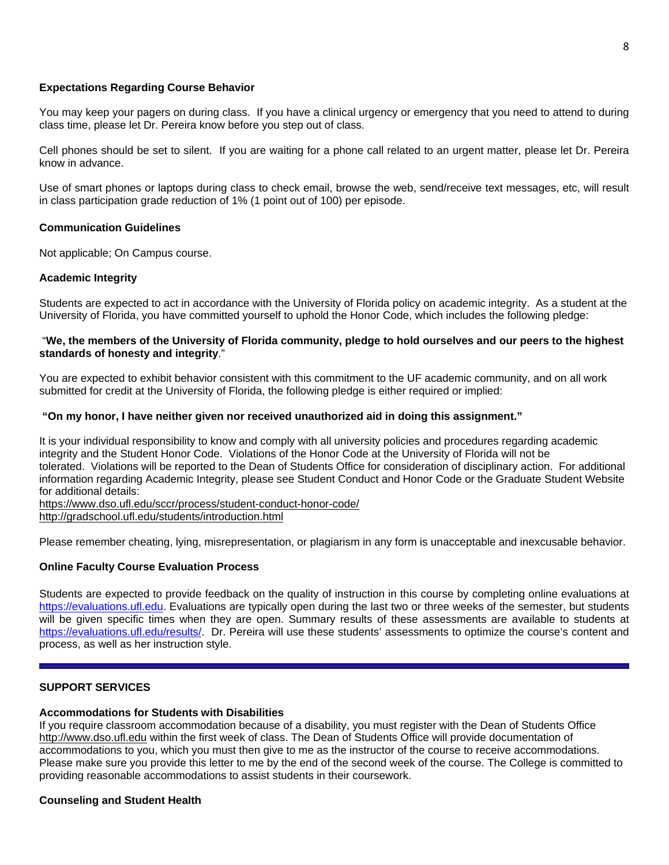## **Expectations Regarding Course Behavior**

You may keep your pagers on during class. If you have a clinical urgency or emergency that you need to attend to during class time, please let Dr. Pereira know before you step out of class.

Cell phones should be set to silent. If you are waiting for a phone call related to an urgent matter, please let Dr. Pereira know in advance.

Use of smart phones or laptops during class to check email, browse the web, send/receive text messages, etc, will result in class participation grade reduction of 1% (1 point out of 100) per episode.

#### **Communication Guidelines**

Not applicable; On Campus course.

## **Academic Integrity**

Students are expected to act in accordance with the University of Florida policy on academic integrity. As a student at the University of Florida, you have committed yourself to uphold the Honor Code, which includes the following pledge:

## "We, the members of the University of Florida community, pledge to hold ourselves and our peers to the highest **standards of honesty and integrity**."

You are expected to exhibit behavior consistent with this commitment to the UF academic community, and on all work submitted for credit at the University of Florida, the following pledge is either required or implied:

## **"On my honor, I have neither given nor received unauthorized aid in doing this assignment."**

It is your individual responsibility to know and comply with all university policies and procedures regarding academic integrity and the Student Honor Code. Violations of the Honor Code at the University of Florida will not be tolerated. Violations will be reported to the Dean of Students Office for consideration of disciplinary action. For additional information regarding Academic Integrity, please see Student Conduct and Honor Code or the Graduate Student Website for additional details:

<https://www.dso.ufl.edu/sccr/process/student-conduct-honor-code/> <http://gradschool.ufl.edu/students/introduction.html>

Please remember cheating, lying, misrepresentation, or plagiarism in any form is unacceptable and inexcusable behavior.

## **Online Faculty Course Evaluation Process**

Students are expected to provide feedback on the quality of instruction in this course by completing online evaluations at [https://evaluations.ufl.edu.](https://evaluations.ufl.edu/) Evaluations are typically open during the last two or three weeks of the semester, but students will be given specific times when they are open. Summary results of these assessments are available to students at [https://evaluations.ufl.edu/results/.](https://evaluations.ufl.edu/results/) Dr. Pereira will use these students' assessments to optimize the course's content and process, as well as her instruction style.

## **SUPPORT SERVICES**

#### **Accommodations for Students with Disabilities**

If you require classroom accommodation because of a disability, you must register with the Dean of Students Office [http://www.dso.ufl.edu](http://www.dso.ufl.edu/) within the first week of class. The Dean of Students Office will provide documentation of accommodations to you, which you must then give to me as the instructor of the course to receive accommodations. Please make sure you provide this letter to me by the end of the second week of the course. The College is committed to providing reasonable accommodations to assist students in their coursework.

#### **Counseling and Student Health**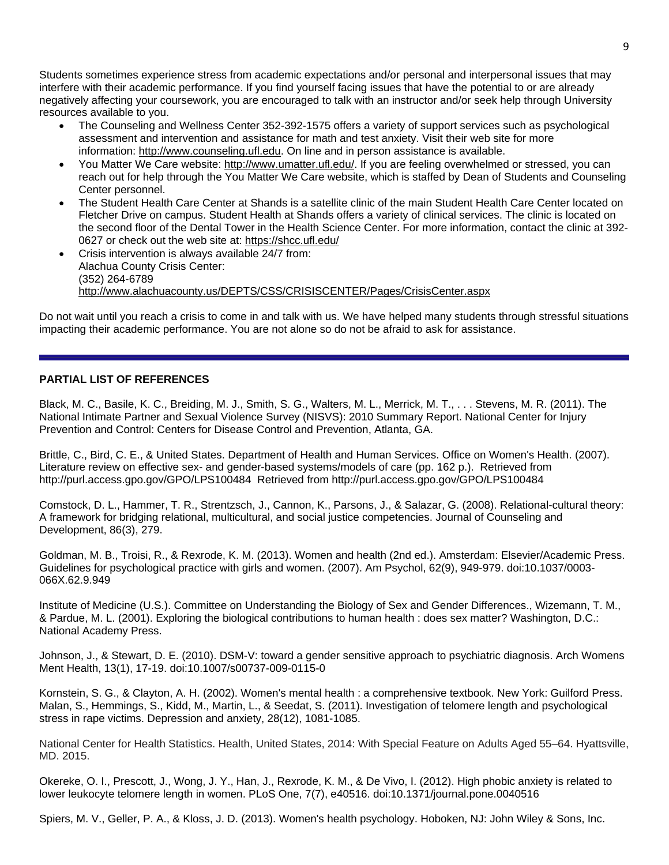Students sometimes experience stress from academic expectations and/or personal and interpersonal issues that may interfere with their academic performance. If you find yourself facing issues that have the potential to or are already negatively affecting your coursework, you are encouraged to talk with an instructor and/or seek help through University resources available to you.

- The Counseling and Wellness Center 352-392-1575 offers a variety of support services such as psychological assessment and intervention and assistance for math and test anxiety. Visit their web site for more information: [http://www.counseling.ufl.edu.](http://www.counseling.ufl.edu/) On line and in person assistance is available.
- You Matter We Care website: [http://www.umatter.ufl.edu/.](http://www.umatter.ufl.edu/) If you are feeling overwhelmed or stressed, you can reach out for help through the You Matter We Care website, which is staffed by Dean of Students and Counseling Center personnel.
- The Student Health Care Center at Shands is a satellite clinic of the main Student Health Care Center located on Fletcher Drive on campus. Student Health at Shands offers a variety of clinical services. The clinic is located on the second floor of the Dental Tower in the Health Science Center. For more information, contact the clinic at 392 0627 or check out the web site at: <https://shcc.ufl.edu/>
- Crisis intervention is always available 24/7 from: Alachua County Crisis Center: (352) 264-6789 <http://www.alachuacounty.us/DEPTS/CSS/CRISISCENTER/Pages/CrisisCenter.aspx>

Do not wait until you reach a crisis to come in and talk with us. We have helped many students through stressful situations impacting their academic performance. You are not alone so do not be afraid to ask for assistance.

## **PARTIAL LIST OF REFERENCES**

Black, M. C., Basile, K. C., Breiding, M. J., Smith, S. G., Walters, M. L., Merrick, M. T., . . . Stevens, M. R. (2011). The National Intimate Partner and Sexual Violence Survey (NISVS): 2010 Summary Report. National Center for Injury Prevention and Control: Centers for Disease Control and Prevention, Atlanta, GA.

Brittle, C., Bird, C. E., & United States. Department of Health and Human Services. Office on Women's Health. (2007). Literature review on effective sex- and gender-based systems/models of care (pp. 162 p.). Retrieved from http://purl.access.gpo.gov/GPO/LPS100484 Retrieved from http://purl.access.gpo.gov/GPO/LPS100484

Comstock, D. L., Hammer, T. R., Strentzsch, J., Cannon, K., Parsons, J., & Salazar, G. (2008). Relational-cultural theory: A framework for bridging relational, multicultural, and social justice competencies. Journal of Counseling and Development, 86(3), 279.

Goldman, M. B., Troisi, R., & Rexrode, K. M. (2013). Women and health (2nd ed.). Amsterdam: Elsevier/Academic Press. Guidelines for psychological practice with girls and women. (2007). Am Psychol, 62(9), 949-979. doi:10.1037/0003- 066X.62.9.949

Institute of Medicine (U.S.). Committee on Understanding the Biology of Sex and Gender Differences., Wizemann, T. M., & Pardue, M. L. (2001). Exploring the biological contributions to human health : does sex matter? Washington, D.C.: National Academy Press.

Johnson, J., & Stewart, D. E. (2010). DSM-V: toward a gender sensitive approach to psychiatric diagnosis. Arch Womens Ment Health, 13(1), 17-19. doi:10.1007/s00737-009-0115-0

Kornstein, S. G., & Clayton, A. H. (2002). Women's mental health : a comprehensive textbook. New York: Guilford Press. Malan, S., Hemmings, S., Kidd, M., Martin, L., & Seedat, S. (2011). Investigation of telomere length and psychological stress in rape victims. Depression and anxiety, 28(12), 1081-1085.

National Center for Health Statistics. Health, United States, 2014: With Special Feature on Adults Aged 55–64. Hyattsville, MD. 2015.

Okereke, O. I., Prescott, J., Wong, J. Y., Han, J., Rexrode, K. M., & De Vivo, I. (2012). High phobic anxiety is related to lower leukocyte telomere length in women. PLoS One, 7(7), e40516. doi:10.1371/journal.pone.0040516

Spiers, M. V., Geller, P. A., & Kloss, J. D. (2013). Women's health psychology. Hoboken, NJ: John Wiley & Sons, Inc.